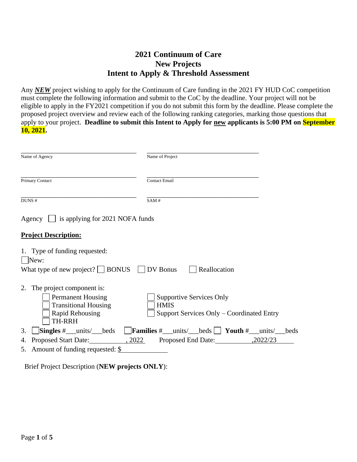# **2021 Continuum of Care New Projects Intent to Apply & Threshold Assessment**

Any *NEW* project wishing to apply for the Continuum of Care funding in the 2021 FY HUD CoC competition must complete the following information and submit to the CoC by the deadline. Your project will not be eligible to apply in the FY2021 competition if you do not submit this form by the deadline. Please complete the proposed project overview and review each of the following ranking categories, marking those questions that apply to your project. **Deadline to submit this Intent to Apply for new applicants is 5:00 PM on September 10, 2021.**

| Name of Agency                                                                                                                     | Name of Project                                                                             |
|------------------------------------------------------------------------------------------------------------------------------------|---------------------------------------------------------------------------------------------|
| Primary Contact                                                                                                                    | Contact Email                                                                               |
| DUNS #                                                                                                                             | SAM#                                                                                        |
| Agency $\Box$ is applying for 2021 NOFA funds                                                                                      |                                                                                             |
| <b>Project Description:</b>                                                                                                        |                                                                                             |
| 1. Type of funding requested:<br>New:<br>What type of new project? $\Box$ BONUS $\Box$ DV Bonus                                    | Reallocation                                                                                |
| 2. The project component is:<br><b>Permanent Housing</b><br><b>Transitional Housing</b><br><b>Rapid Rehousing</b><br><b>TH-RRH</b> | <b>Supportive Services Only</b><br><b>HMIS</b><br>Support Services Only – Coordinated Entry |
| 3.<br>$\textbf{Singles} \#$ units/ beds                                                                                            | $\Box$ Families # ___ units/ ___ beds $\Box$ Youth # ___ units/ ___ beds                    |
| Proposed Start Date: 3.2022<br>4.                                                                                                  | Proposed End Date:<br>,2022/23                                                              |
| 5. Amount of funding requested: $\frac{1}{2}$                                                                                      |                                                                                             |

Brief Project Description (**NEW projects ONLY**):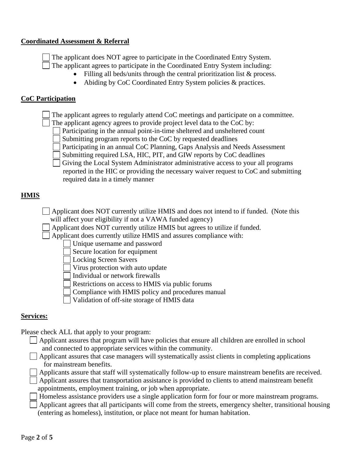## **Coordinated Assessment & Referral**

The applicant does NOT agree to participate in the Coordinated Entry System. The applicant agrees to participate in the Coordinated Entry System including:

- Filling all beds/units through the central prioritization list & process.
- Abiding by CoC Coordinated Entry System policies & practices.

#### **CoC Participation**

The applicant agrees to regularly attend CoC meetings and participate on a committee.

The applicant agency agrees to provide project level data to the CoC by:

- Participating in the annual point-in-time sheltered and unsheltered count
- Submitting program reports to the CoC by requested deadlines
- Participating in an annual CoC Planning, Gaps Analysis and Needs Assessment
- Submitting required LSA, HIC, PIT, and GIW reports by CoC deadlines

Giving the Local System Administrator administrative access to your all programs reported in the HIC or providing the necessary waiver request to CoC and submitting required data in a timely manner

## **HMIS**

Applicant does NOT currently utilize HMIS and does not intend to if funded. (Note this will affect your eligibility if not a VAWA funded agency)

Applicant does NOT currently utilize HMIS but agrees to utilize if funded.

Applicant does currently utilize HMIS and assures compliance with:

- Unique username and password
- Secure location for equipment
- Locking Screen Savers
- Virus protection with auto update
- Individual or network firewalls
- Restrictions on access to HMIS via public forums
- Compliance with HMIS policy and procedures manual
- Validation of off-site storage of HMIS data

## **Services:**

Please check ALL that apply to your program:

- $\Box$  Applicant assures that program will have policies that ensure all children are enrolled in school and connected to appropriate services within the community.
- $\Box$  Applicant assures that case managers will systematically assist clients in completing applications for mainstream benefits.
	- Applicants assure that staff will systematically follow-up to ensure mainstream benefits are received.

Applicant assures that transportation assistance is provided to clients to attend mainstream benefit appointments, employment training, or job when appropriate.

Homeless assistance providers use a single application form for four or more mainstream programs.

Applicant agrees that all participants will come from the streets, emergency shelter, transitional housing (entering as homeless), institution, or place not meant for human habitation.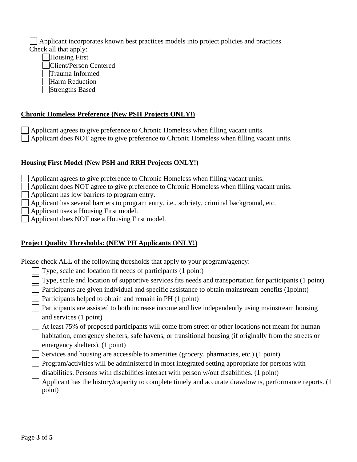Applicant incorporates known best practices models into project policies and practices. Check all that apply:

- Housing First
- Client/Person Centered
- Trauma Informed
- Harm Reduction
- Strengths Based

## **Chronic Homeless Preference (New PSH Projects ONLY!)**

Applicant agrees to give preference to Chronic Homeless when filling vacant units. Applicant does NOT agree to give preference to Chronic Homeless when filling vacant units.

## **Housing First Model (New PSH and RRH Projects ONLY!)**

- **Applicant agrees to give preference to Chronic Homeless when filling vacant units.**
- Applicant does NOT agree to give preference to Chronic Homeless when filling vacant units.
- Applicant has low barriers to program entry.
- Applicant has several barriers to program entry, i.e., sobriety, criminal background, etc.
- Applicant uses a Housing First model.
- Applicant does NOT use a Housing First model.

# **Project Quality Thresholds: (NEW PH Applicants ONLY!)**

Please check ALL of the following thresholds that apply to your program/agency:

- $\Box$  Type, scale and location fit needs of participants (1 point)
- Type, scale and location of supportive services fits needs and transportation for participants (1 point)
- $\Box$  Participants are given individual and specific assistance to obtain mainstream benefits (1 point t)
- Participants helped to obtain and remain in PH  $(1 \text{ point})$
- Participants are assisted to both increase income and live independently using mainstream housing and services (1 point)
- At least 75% of proposed participants will come from street or other locations not meant for human habitation, emergency shelters, safe havens, or transitional housing (if originally from the streets or emergency shelters). (1 point)
- Services and housing are accessible to amenities (grocery, pharmacies, etc.) (1 point)
- Program/activities will be administered in most integrated setting appropriate for persons with disabilities. Persons with disabilities interact with person w/out disabilities. (1 point)
- Applicant has the history/capacity to complete timely and accurate drawdowns, performance reports. (1 point)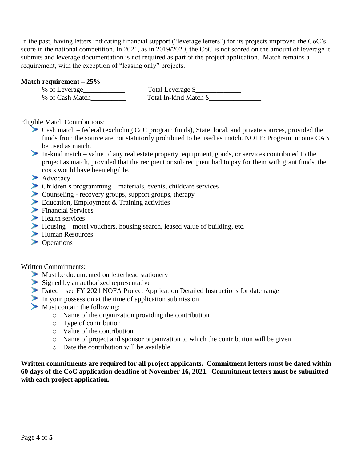In the past, having letters indicating financial support ("leverage letters") for its projects improved the CoC's score in the national competition. In 2021, as in 2019/2020, the CoC is not scored on the amount of leverage it submits and leverage documentation is not required as part of the project application. Match remains a requirement, with the exception of "leasing only" projects.

**Match requirement – 25%**<br>% of Leverage Total Leverage  $\frac{\gamma_1}{\gamma_2}$ % of Cash Match\_\_\_\_\_\_\_\_\_\_ Total In-kind Match \$\_\_\_\_\_\_\_\_\_\_\_\_\_\_\_

Eligible Match Contributions:

- Cash match federal (excluding CoC program funds), State, local, and private sources, provided the funds from the source are not statutorily prohibited to be used as match. NOTE: Program income CAN be used as match.
- In-kind match value of any real estate property, equipment, goods, or services contributed to the project as match, provided that the recipient or sub recipient had to pay for them with grant funds, the costs would have been eligible.
- Advocacy
- $\triangleright$  Children's programming materials, events, childcare services
- Counseling recovery groups, support groups, therapy
- Education, Employment & Training activities
- Financial Services
- Health services
- Housing motel vouchers, housing search, leased value of building, etc.
- Human Resources
- **Departions**

Written Commitments:

- Must be documented on letterhead stationery
- Signed by an authorized representative
- Dated see FY 2021 NOFA Project Application Detailed Instructions for date range
- In your possession at the time of application submission
- $\blacktriangleright$  Must contain the following:
	- o Name of the organization providing the contribution
	- o Type of contribution
	- o Value of the contribution
	- o Name of project and sponsor organization to which the contribution will be given
	- o Date the contribution will be available

**Written commitments are required for all project applicants. Commitment letters must be dated within 60 days of the CoC application deadline of November 16, 2021. Commitment letters must be submitted with each project application.**